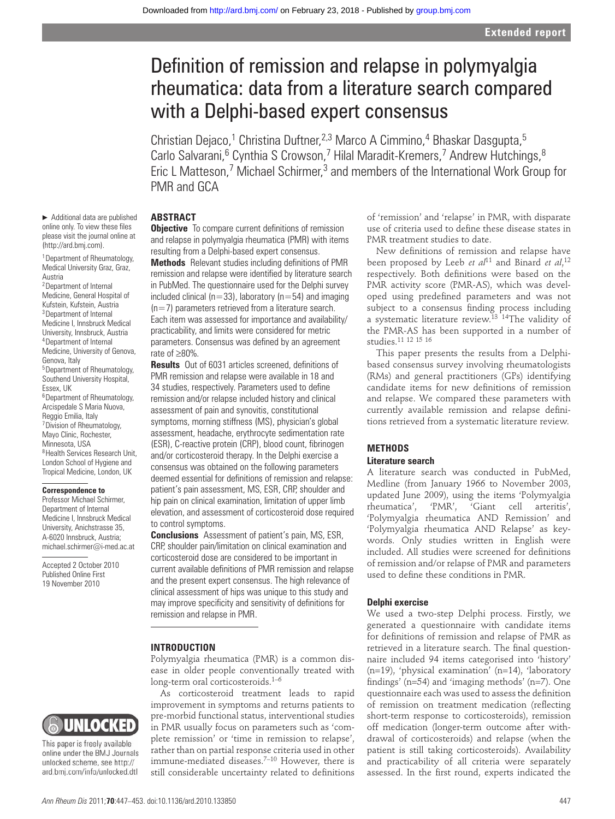# Definition of remission and relapse in polymyalgia rheumatica: data from a literature search compared with a Delphi-based expert consensus

Christian Dejaco,<sup>1</sup> Christina Duftner,<sup>2,3</sup> Marco A Cimmino,<sup>4</sup> Bhaskar Dasgupta,<sup>5</sup> Carlo Salvarani, <sup>6</sup> Cynthia S Crowson, 7 Hilal Maradit-Kremers, 7 Andrew Hutchings, 8 Eric L Matteson,<sup>7</sup> Michael Schirmer,<sup>3</sup> and members of the International Work Group for PMR and GCA

# **ABSTRACT**

**Objective** To compare current definitions of remission and relapse in polymyalgia rheumatica (PMR) with items resulting from a Delphi-based expert consensus.

**Methods** Relevant studies including definitions of PMR remission and relapse were identified by literature search in PubMed. The questionnaire used for the Delphi survey included clinical ( $n=33$ ), laboratory ( $n=54$ ) and imaging  $(n=7)$  parameters retrieved from a literature search. Each item was assessed for importance and availability/ practicability, and limits were considered for metric parameters. Consensus was defined by an agreement rate of ≥80%.

**Results** Out of 6031 articles screened, definitions of PMR remission and relapse were available in 18 and 34 studies, respectively. Parameters used to define remission and/or relapse included history and clinical assessment of pain and synovitis, constitutional symptoms, morning stiffness (MS), physician's global assessment, headache, erythrocyte sedimentation rate (ESR), C-reactive protein (CRP), blood count, fibrinogen and/or corticosteroid therapy. In the Delphi exercise a consensus was obtained on the following parameters deemed essential for definitions of remission and relapse: patient's pain assessment, MS, ESR, CRP, shoulder and hip pain on clinical examination, limitation of upper limb elevation, and assessment of corticosteroid dose required to control symptoms.

 **Conclusions** Assessment of patient's pain, MS, ESR, CRP, shoulder pain/limitation on clinical examination and corticosteroid dose are considered to be important in current available definitions of PMR remission and relapse and the present expert consensus. The high relevance of clinical assessment of hips was unique to this study and may improve specificity and sensitivity of definitions for remission and relapse in PMR.

#### **INTRODUCTION**

Polymyalgia rheumatica (PMR) is a common disease in older people conventionally treated with long-term oral corticosteroids. $1-6$ 

As corticosteroid treatment leads to rapid improvement in symptoms and returns patients to pre-morbid functional status, interventional studies in PMR usually focus on parameters such as 'complete remission' or 'time in remission to relapse', rather than on partial response criteria used in other immune-mediated diseases. $7-10$  However, there is still considerable uncertainty related to definitions

of 'remission' and 'relapse' in PMR, with disparate use of criteria used to define these disease states in PMR treatment studies to date.

New definitions of remission and relapse have been proposed by Leeb *et al*<sup>11</sup> and Binard *et al*,<sup>12</sup> respectively. Both definitions were based on the PMR activity score (PMR-AS), which was developed using predefined parameters and was not subject to a consensus finding process including a systematic literature review. 13 14The validity of the PMR-AS has been supported in a number of studies.<sup>11</sup> <sup>12</sup> <sup>15</sup> <sup>16</sup>

This paper presents the results from a Delphibased consensus survey involving rheumatologists (RMs) and general practitioners (GPs) identifying candidate items for new definitions of remission and relapse. We compared these parameters with currently available remission and relapse definitions retrieved from a systematic literature review.

# **METHODS Literature search**

A literature search was conducted in PubMed, Medline (from January 1966 to November 2003, updated June 2009), using the items 'Polymyalgia<br>rheumatica', 'PMR', 'Giant cell arteritis', rheumatica', 'PMR', 'Giant cell arteritis', 'Polymyalgia rheumatica AND Remission' and 'Polymyalgia rheumatica AND Relapse' as keywords. Only studies written in English were included. All studies were screened for definitions of remission and/or relapse of PMR and parameters used to define these conditions in PMR.

# **Delphi exercise**

We used a two-step Delphi process. Firstly, we generated a questionnaire with candidate items for definitions of remission and relapse of PMR as retrieved in a literature search. The final questionnaire included 94 items categorised into 'history' (n=19), 'physical examination' (n=14), 'laboratory findings' ( $n=54$ ) and 'imaging methods' ( $n=7$ ). One questionnaire each was used to assess the definition of remission on treatment medication (reflecting short-term response to corticosteroids), remission off medication (longer-term outcome after withdrawal of corticosteroids) and relapse (when the patient is still taking corticosteroids). Availability and practicability of all criteria were separately assessed. In the first round, experts indicated the

▶ Additional data are published online only. To view these files please visit the journal online at (http://ard.bmj.com).

1 Department of Rheumatology, Medical University Graz, Graz, Austria 2 Department of Internal

Medicine, General Hospital of Kufstein, Kufstein, Austria 3 Department of Internal Medicine I, Innsbruck Medical University, Innsbruck, Austria 4 Department of Internal Medicine, University of Genova, Genova, Italy 5 Department of Rheumatology, Southend University Hospital, Essex, UK 6 Department of Rheumatology, Arcispedale S Maria Nuova, Reggio Emilia, Italy 7 Division of Rheumatology, Mayo Clinic, Rochester, Minnesota, USA 8 Health Services Research Unit, London School of Hygiene and Tropical Medicine, London, UK

#### **Correspondence to**

Professor Michael Schirmer, Department of Internal Medicine I, Innsbruck Medical University, Anichstrasse 35, A-6020 Innsbruck, Austria; michael.schirmer@i-med.ac.at

Accepted 2 October 2010 Published Online First 19 November 2010



This paper is freely available online under the BMJ Journals unlocked scheme, see http:// ard.bmj.com/info/unlocked.dtl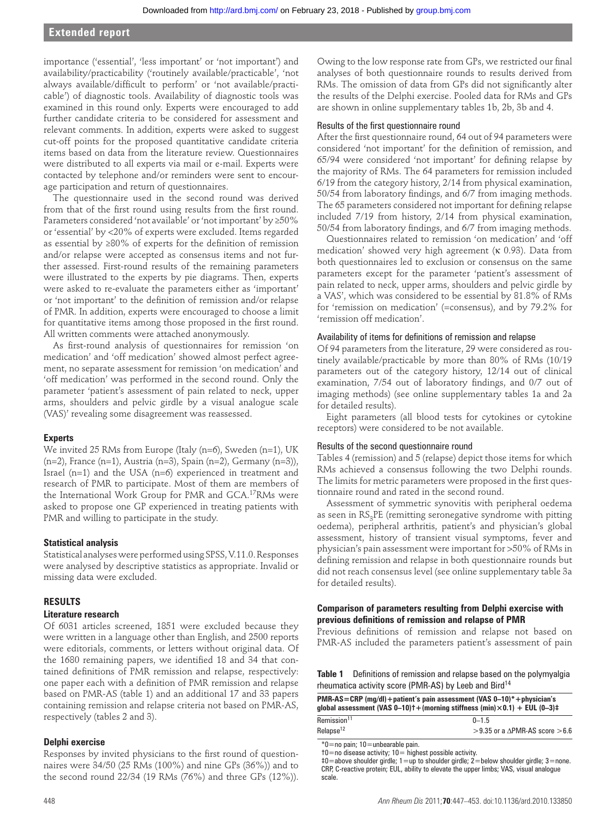# **Extended report**

importance ('essential', 'less important' or 'not important') and availability/practicability ('routinely available/practicable', 'not always available/difficult to perform' or 'not available/practicable') of diagnostic tools. Availability of diagnostic tools was examined in this round only. Experts were encouraged to add further candidate criteria to be considered for assessment and relevant comments. In addition, experts were asked to suggest cut-off points for the proposed quantitative candidate criteria items based on data from the literature review. Questionnaires were distributed to all experts via mail or e-mail. Experts were contacted by telephone and/or reminders were sent to encourage participation and return of questionnaires.

The questionnaire used in the second round was derived from that of the first round using results from the first round. Parameters considered 'not available' or 'not important' by ≥50% or 'essential' by <20% of experts were excluded. Items regarded as essential by  $\geq 80\%$  of experts for the definition of remission and/or relapse were accepted as consensus items and not further assessed. First-round results of the remaining parameters were illustrated to the experts by pie diagrams. Then, experts were asked to re-evaluate the parameters either as 'important' or 'not important' to the definition of remission and/or relapse of PMR. In addition, experts were encouraged to choose a limit for quantitative items among those proposed in the first round. All written comments were attached anonymously.

As first-round analysis of questionnaires for remission 'on medication' and 'off medication' showed almost perfect agreement, no separate assessment for remission 'on medication' and 'off medication' was performed in the second round. Only the parameter 'patient's assessment of pain related to neck, upper arms, shoulders and pelvic girdle by a visual analogue scale (VAS)' revealing some disagreement was reassessed.

#### **Experts**

We invited 25 RMs from Europe (Italy (n=6), Sweden (n=1), UK (n=2), France (n=1), Austria (n=3), Spain (n=2), Germany (n=3)), Israel (n=1) and the USA (n=6) experienced in treatment and research of PMR to participate. Most of them are members of the International Work Group for PMR and GCA.<sup>17</sup>RMs were asked to propose one GP experienced in treating patients with PMR and willing to participate in the study.

#### **Statistical analysis**

Statistical analyses were performed using SPSS, V.11.0. Responses were analysed by descriptive statistics as appropriate. Invalid or missing data were excluded.

# **RESULTS**

# **Literature research**

Of 6031 articles screened, 1851 were excluded because they were written in a language other than English, and 2500 reports were editorials, comments, or letters without original data. Of the 1680 remaining papers, we identified 18 and 34 that contained definitions of PMR remission and relapse, respectively: one paper each with a definition of PMR remission and relapse based on PMR-AS (table 1) and an additional 17 and 33 papers containing remission and relapse criteria not based on PMR-AS, respectively (tables 2 and 3).

# **Delphi exercise**

Responses by invited physicians to the first round of questionnaires were 34/50 (25 RMs (100%) and nine GPs (36%)) and to the second round 22/34 (19 RMs (76%) and three GPs (12%)). Owing to the low response rate from GPs, we restricted our final analyses of both questionnaire rounds to results derived from RMs. The omission of data from GPs did not significantly alter the results of the Delphi exercise. Pooled data for RMs and GPs are shown in online supplementary tables 1b, 2b, 3b and 4.

# Results of the first questionnaire round

After the first questionnaire round, 64 out of 94 parameters were considered 'not important' for the definition of remission, and 65/94 were considered 'not important' for defining relapse by the majority of RMs. The 64 parameters for remission included 6/19 from the category history, 2/14 from physical examination, 50/54 from laboratory findings, and 6/7 from imaging methods. The 65 parameters considered not important for defining relapse included 7/19 from history, 2/14 from physical examination, 50/54 from laboratory findings, and 6/7 from imaging methods.

Questionnaires related to remission 'on medication' and 'off medication' showed very high agreement (κ 0.93). Data from both questionnaires led to exclusion or consensus on the same parameters except for the parameter 'patient's assessment of pain related to neck, upper arms, shoulders and pelvic girdle by a VAS', which was considered to be essential by 81.8% of RMs for 'remission on medication' (=consensus), and by 79.2% for 'remission off medication'.

#### Availability of items for definitions of remission and relapse

Of 94 parameters from the literature, 29 were considered as routinely available/practicable by more than 80% of RMs (10/19 parameters out of the category history, 12/14 out of clinical examination, 7/54 out of laboratory findings, and 0/7 out of imaging methods) (see online supplementary tables 1a and 2a for detailed results).

Eight parameters (all blood tests for cytokines or cytokine receptors) were considered to be not available.

#### Results of the second questionnaire round

Tables 4 (remission) and 5(relapse) depict those items for which RMs achieved a consensus following the two Delphi rounds. The limits for metric parameters were proposed in the first questionnaire round and rated in the second round.

Assessment of symmetric synovitis with peripheral oedema as seen in  $RS<sub>3</sub>PE$  (remitting seronegative syndrome with pitting oedema), peripheral arthritis, patient's and physician's global assessment, history of transient visual symptoms, fever and physician's pain assessment were important for >50% of RMs in defining remission and relapse in both questionnaire rounds but did not reach consensus level (see online supplementary table 3a for detailed results).

# **Comparison of parameters resulting from Delphi exercise with**  previous definitions of remission and relapse of PMR

Previous definitions of remission and relapse not based on PMR-AS included the parameters patient's assessment of pain

**Table 1** Definitions of remission and relapse based on the polymyalgia rheumatica activity score (PMR-AS) by Leeb and Bird<sup>14</sup>

| <b>PMR-AS=CRP</b> (mg/dl) + patient's pain assessment (VAS $0-10$ ) * + physician's<br>qlobal assessment (VAS $0-10$ ) + (morning stiffness (min) $\times$ 0.1) + EUL (0-3) $\pm$ |                                          |  |  |  |
|-----------------------------------------------------------------------------------------------------------------------------------------------------------------------------------|------------------------------------------|--|--|--|
| Remission <sup>11</sup>                                                                                                                                                           | $0 - 1.5$                                |  |  |  |
| Relapse <sup>12</sup>                                                                                                                                                             | >9.35 or a $\triangle$ PMR-AS score >6.6 |  |  |  |

\*0=no pain; 10=unbearable pain.

 ‡0=above shoulder girdle; 1=up to shoulder girdle; 2=below shoulder girdle; 3=none. CRP, C-reactive protein; EUL, ability to elevate the upper limbs; VAS, visual analogue scale.

 <sup>†0=</sup>no disease activity; 10= highest possible activity.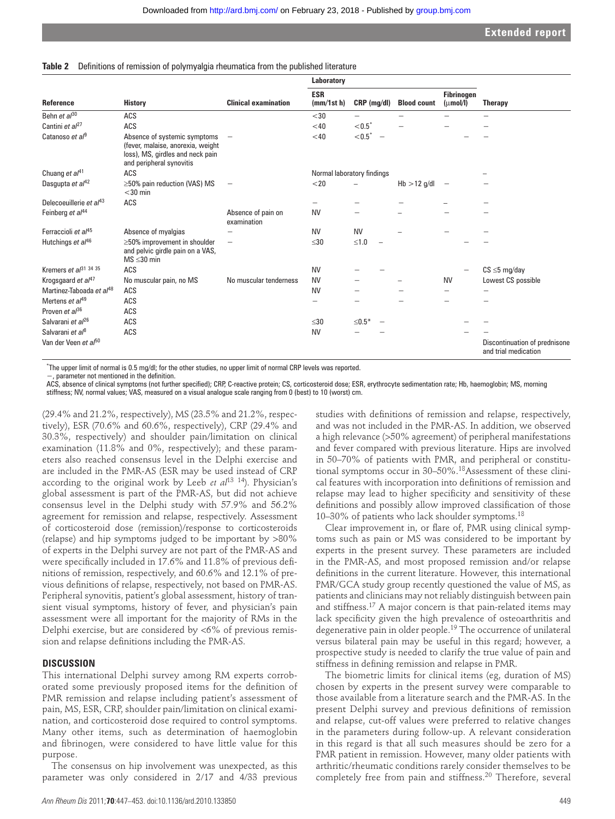#### **Table 2** Definitions of remission of polymyalgia rheumatica from the published literature

|                                      |                                                                                                                                   |                                   | Laboratory                 |               |                    |                                           |                                                       |
|--------------------------------------|-----------------------------------------------------------------------------------------------------------------------------------|-----------------------------------|----------------------------|---------------|--------------------|-------------------------------------------|-------------------------------------------------------|
| Reference                            | <b>History</b>                                                                                                                    | <b>Clinical examination</b>       | <b>ESR</b><br>(mm/1st h)   | $CRP$ (mg/dl) | <b>Blood count</b> | <b>Fibrinogen</b><br>$(\mu \text{mol/l})$ | <b>Therapy</b>                                        |
| Behn et al <sup>30</sup>             | ACS                                                                                                                               |                                   | $30$                       |               |                    |                                           |                                                       |
| Cantini et al <sup>27</sup>          | ACS                                                                                                                               |                                   | $<$ 40                     | $< 0.5^*$     |                    |                                           |                                                       |
| Catanoso et al <sup>9</sup>          | Absence of systemic symptoms<br>(fever, malaise, anorexia, weight<br>loss), MS, girdles and neck pain<br>and peripheral synovitis |                                   | $<$ 40                     | $< 0.5^*$     |                    |                                           |                                                       |
| Chuang et $al^{41}$                  | ACS                                                                                                                               |                                   | Normal laboratory findings |               |                    |                                           |                                                       |
| Dasgupta et al <sup>42</sup>         | $\geq$ 50% pain reduction (VAS) MS<br>$<$ 30 min                                                                                  | $\overline{\phantom{m}}$          | $<$ 20                     |               | $Hb > 12$ g/dl     | $\overline{\phantom{0}}$                  |                                                       |
| Delecoeuillerie et al <sup>43</sup>  | ACS                                                                                                                               |                                   |                            |               |                    |                                           |                                                       |
| Feinberg et al <sup>44</sup>         |                                                                                                                                   | Absence of pain on<br>examination | <b>NV</b>                  |               |                    |                                           |                                                       |
| Ferraccioli et al <sup>45</sup>      | Absence of myalgias                                                                                                               |                                   | <b>NV</b>                  | <b>NV</b>     |                    |                                           |                                                       |
| Hutchings et al <sup>46</sup>        | $\geq$ 50% improvement in shoulder<br>and pelvic girdle pain on a VAS,<br>$MS \leq 30$ min                                        | -                                 | $\leq 30$                  | $≤1.0$        |                    |                                           |                                                       |
| Kremers et al <sup>31</sup> 34 35    | ACS                                                                                                                               |                                   | <b>NV</b>                  |               |                    |                                           | $CS \leq 5$ mg/day                                    |
| Krogsgaard et al <sup>47</sup>       | No muscular pain, no MS                                                                                                           | No muscular tenderness            | <b>NV</b>                  |               |                    | <b>NV</b>                                 | Lowest CS possible                                    |
| Martinez-Taboada et al <sup>48</sup> | ACS                                                                                                                               |                                   | <b>NV</b>                  |               |                    |                                           |                                                       |
| Mertens et al <sup>49</sup>          | ACS                                                                                                                               |                                   |                            |               |                    |                                           |                                                       |
| Proven et al <sup>36</sup>           | ACS                                                                                                                               |                                   |                            |               |                    |                                           |                                                       |
| Salvarani et al <sup>26</sup>        | ACS                                                                                                                               |                                   | $\leq 30$                  | $\leq 0.5*$   |                    |                                           |                                                       |
| Salvarani et al <sup>8</sup>         | ACS                                                                                                                               |                                   | <b>NV</b>                  |               |                    |                                           |                                                       |
| Van der Veen et al <sup>50</sup>     |                                                                                                                                   |                                   |                            |               |                    |                                           | Discontinuation of prednisone<br>and trial medication |

\* The upper limit of normal is 0.5 mg/dl; for the other studies, no upper limit of normal CRP levels was reported.

−, parameter not mentioned in the defi nition.

ACS, absence of clinical symptoms (not further specified); CRP, C-reactive protein; CS, corticosteroid dose; ESR, erythrocyte sedimentation rate; Hb, haemoglobin; MS, morning stiffness; NV, normal values; VAS, measured on a visual analogue scale ranging from 0 (best) to 10 (worst) cm.

(29.4% and 21.2%, respectively), MS (23.5% and 21.2%, respectively), ESR (70.6% and 60.6%, respectively), CRP (29.4% and 30.3%, respectively) and shoulder pain/limitation on clinical examination (11.8% and 0%, respectively); and these parameters also reached consensus level in the Delphi exercise and are included in the PMR-AS (ESR may be used instead of CRP according to the original work by Leeb *et al*<sup>13 14</sup>). Physician's global assessment is part of the PMR-AS, but did not achieve consensus level in the Delphi study with 57.9% and 56.2% agreement for remission and relapse, respectively. Assessment of corticosteroid dose (remission)/response to corticosteroids (relapse) and hip symptoms judged to be important by >80% of experts in the Delphi survey are not part of the PMR-AS and were specifically included in 17.6% and 11.8% of previous definitions of remission, respectively, and 60.6% and 12.1% of previous definitions of relapse, respectively, not based on PMR-AS. Peripheral synovitis, patient's global assessment, history of transient visual symptoms, history of fever, and physician's pain assessment were all important for the majority of RMs in the Delphi exercise, but are considered by <6% of previous remission and relapse definitions including the PMR-AS.

# **DISCUSSION**

This international Delphi survey among RM experts corroborated some previously proposed items for the definition of PMR remission and relapse including patient's assessment of pain, MS, ESR, CRP, shoulder pain/limitation on clinical examination, and corticosteroid dose required to control symptoms. Many other items, such as determination of haemoglobin and fibrinogen, were considered to have little value for this purpose.

The consensus on hip involvement was unexpected, as this parameter was only considered in 2/17 and 4/33 previous

*Ann Rheum Dis* 2011;**70**:447–453. doi:10.1136/ard.2010.133850 449

studies with definitions of remission and relapse, respectively, and was not included in the PMR-AS. In addition, we observed a high relevance (>50% agreement) of peripheral manifestations and fever compared with previous literature. Hips are involved in 50–70% of patients with PMR, and peripheral or constitutional symptoms occur in 30–50%. 18Assessment of these clinical features with incorporation into definitions of remission and relapse may lead to higher specificity and sensitivity of these definitions and possibly allow improved classification of those 10–30% of patients who lack shoulder symptoms. 18

Clear improvement in, or flare of, PMR using clinical symptoms such as pain or MS was considered to be important by experts in the present survey. These parameters are included in the PMR-AS, and most proposed remission and/or relapse definitions in the current literature. However, this international PMR/GCA study group recently questioned the value of MS, as patients and clinicians may not reliably distinguish between pain and stiffness.<sup>17</sup> A major concern is that pain-related items may lack specificity given the high prevalence of osteoarthritis and degenerative pain in older people. 19 The occurrence of unilateral versus bilateral pain may be useful in this regard; however, a prospective study is needed to clarify the true value of pain and stiffness in defining remission and relapse in PMR.

The biometric limits for clinical items (eg, duration of MS) chosen by experts in the present survey were comparable to those available from a literature search and the PMR-AS. In the present Delphi survey and previous definitions of remission and relapse, cut-off values were preferred to relative changes in the parameters during follow-up. A relevant consideration in this regard is that all such measures should be zero for a PMR patient in remission. However, many older patients with arthritic/rheumatic conditions rarely consider themselves to be completely free from pain and stiffness. 20 Therefore, several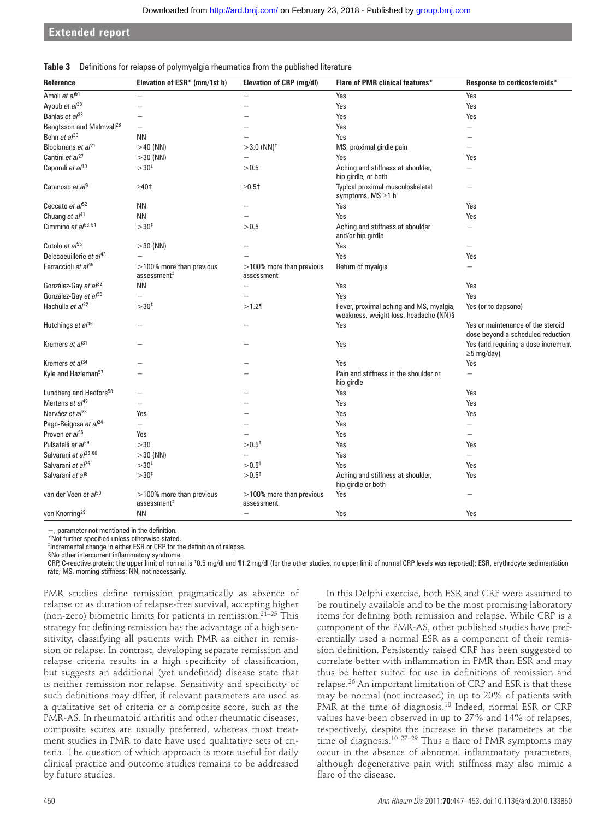**Extended report**

|  |  |  |  |  | Table 3 Definitions for relapse of polymyalgia rheumatica from the published literature |  |
|--|--|--|--|--|-----------------------------------------------------------------------------------------|--|
|--|--|--|--|--|-----------------------------------------------------------------------------------------|--|

| Reference                            | Elevation of ESR* (mm/1st h)                           | <b>Elevation of CRP (mg/dl)</b>           | <b>Flare of PMR clinical features*</b>                                           | Response to corticosteroids*                                           |
|--------------------------------------|--------------------------------------------------------|-------------------------------------------|----------------------------------------------------------------------------------|------------------------------------------------------------------------|
| Amoli et al <sup>51</sup>            |                                                        |                                           | Yes                                                                              | Yes                                                                    |
| Ayoub et al <sup>38</sup>            |                                                        | $\overline{\phantom{0}}$                  | Yes                                                                              | Yes                                                                    |
| Bahlas et $a^{33}$                   |                                                        |                                           | Yes                                                                              | Yes                                                                    |
| Bengtsson and Malmvall <sup>28</sup> | $\equiv$                                               |                                           | Yes                                                                              |                                                                        |
| Behn et al <sup>30</sup>             | <b>NN</b>                                              |                                           | Yes                                                                              |                                                                        |
| Blockmans et al <sup>21</sup>        | $>40$ (NN)                                             | $>$ 3.0 (NN) <sup>†</sup>                 | MS, proximal girdle pain                                                         |                                                                        |
| Cantini et $a^{27}$                  | $>$ 30 (NN)                                            |                                           | Yes                                                                              | Yes                                                                    |
| Caporali et al <sup>10</sup>         | $>30^{4}$                                              | > 0.5                                     | Aching and stiffness at shoulder,<br>hip girdle, or both                         |                                                                        |
| Catanoso et al <sup>9</sup>          | $\geq 40$ ‡                                            | $\geq0.5$ †                               | Typical proximal musculoskeletal<br>symptoms, MS ≥1 h                            |                                                                        |
| Ceccato et al <sup>52</sup>          | <b>NN</b>                                              |                                           | Yes                                                                              | Yes                                                                    |
| Chuang et al <sup>41</sup>           | <b>NN</b>                                              |                                           | Yes                                                                              | Yes                                                                    |
| Cimmino et $a^{f53}$ 54              | $>30^{+}$                                              | > 0.5                                     | Aching and stiffness at shoulder<br>and/or hip girdle                            | $\equiv$                                                               |
| Cutolo et al <sup>55</sup>           | $>$ 30 (NN)                                            |                                           | Yes                                                                              |                                                                        |
| Delecoeuillerie et al <sup>43</sup>  | $\overline{\phantom{a}}$                               |                                           | Yes                                                                              | Yes                                                                    |
| Ferraccioli et al <sup>45</sup>      | $>$ 100% more than previous<br>assessment <sup>#</sup> | $>$ 100% more than previous<br>assessment | Return of myalgia                                                                |                                                                        |
| González-Gay et al <sup>32</sup>     | ΝN                                                     |                                           | Yes                                                                              | Yes                                                                    |
| González-Gay et al <sup>56</sup>     |                                                        |                                           | Yes                                                                              | Yes                                                                    |
| Hachulla et al <sup>22</sup>         | $>30^{1}$                                              | >1.2                                      | Fever, proximal aching and MS, myalgia,<br>weakness, weight loss, headache (NN)§ | Yes (or to dapsone)                                                    |
| Hutchings et al <sup>46</sup>        |                                                        |                                           | Yes                                                                              | Yes or maintenance of the steroid<br>dose beyond a scheduled reduction |
| Kremers et $a^{31}$                  |                                                        |                                           | Yes                                                                              | Yes (and requiring a dose increment<br>$\geq$ 5 mg/day)                |
| Kremers et al <sup>34</sup>          |                                                        |                                           | Yes                                                                              | Yes                                                                    |
| Kyle and Hazleman <sup>57</sup>      |                                                        |                                           | Pain and stiffness in the shoulder or<br>hip girdle                              | -                                                                      |
| Lundberg and Hedfors <sup>58</sup>   |                                                        |                                           | Yes                                                                              | Yes                                                                    |
| Mertens et $a/49$                    | -                                                      |                                           | Yes                                                                              | Yes                                                                    |
| Narváez et al <sup>23</sup>          | Yes                                                    |                                           | Yes                                                                              | Yes                                                                    |
| Pego-Reigosa et al <sup>24</sup>     | $\overline{\phantom{0}}$                               |                                           | Yes                                                                              |                                                                        |
| Proven et $a^{36}$                   | Yes                                                    |                                           | Yes                                                                              | $\overline{\phantom{0}}$                                               |
| Pulsatelli et al <sup>59</sup>       | >30                                                    | $> 0.5^{\dagger}$                         | Yes                                                                              | Yes                                                                    |
| Salvarani et al <sup>25 60</sup>     | $>$ 30 (NN)                                            |                                           | Yes                                                                              | $\equiv$                                                               |
| Salvarani et al <sup>26</sup>        | $>30^{1}$                                              | $> 0.5^{\dagger}$                         | Yes                                                                              | Yes                                                                    |
| Salvarani et al <sup>8</sup>         | $>30^{1}$                                              | $> 0.5^{\dagger}$                         | Aching and stiffness at shoulder,<br>hip girdle or both                          | Yes                                                                    |
| van der Veen et al <sup>50</sup>     | $>100\%$ more than previous<br>assessment <sup>#</sup> | >100% more than previous<br>assessment    | Yes                                                                              |                                                                        |
| von Knorring <sup>29</sup>           | <b>NN</b>                                              |                                           | Yes                                                                              | Yes                                                                    |

−, parameter not mentioned in the definition.

\*Not further specified unless otherwise stated.

<sup>‡</sup> Incremental change in either ESR or CRP for the definition of relapse.

§No other intercurrent inflammatory syndrome.

CRP, C-reactive protein; the upper limit of normal is 10.5 mg/dl and ¶1.2 mg/dl (for the other studies, no upper limit of normal CRP levels was reported); ESR, erythrocyte sedimentation rate; MS, morning stiffness; NN, not necessarily.

PMR studies define remission pragmatically as absence of relapse or as duration of relapse-free survival, accepting higher (non-zero) biometric limits for patients in remission. $21-25$  This strategy for defining remission has the advantage of a high sensitivity, classifying all patients with PMR as either in remission or relapse. In contrast, developing separate remission and relapse criteria results in a high specificity of classification, but suggests an additional (yet undefined) disease state that is neither remission nor relapse. Sensitivity and specificity of such definitions may differ, if relevant parameters are used as a qualitative set of criteria or a composite score, such as the PMR-AS. In rheumatoid arthritis and other rheumatic diseases, composite scores are usually preferred, whereas most treatment studies in PMR to date have used qualitative sets of criteria. The question of which approach is more useful for daily clinical practice and outcome studies remains to be addressed by future studies.

In this Delphi exercise, both ESR and CRP were assumed to be routinely available and to be the most promising laboratory items for defining both remission and relapse. While CRP is a component of the PMR-AS, other published studies have preferentially used a normal ESR as a component of their remission definition. Persistently raised CRP has been suggested to correlate better with inflammation in PMR than ESR and may thus be better suited for use in definitions of remission and relapse. 26 An important limitation of CRP and ESR is that these may be normal (not increased) in up to 20% of patients with PMR at the time of diagnosis.<sup>18</sup> Indeed, normal ESR or CRP values have been observed in up to 27% and 14% of relapses, respectively, despite the increase in these parameters at the time of diagnosis.<sup>10 27-29</sup> Thus a flare of PMR symptoms may occur in the absence of abnormal inflammatory parameters, although degenerative pain with stiffness may also mimic a flare of the disease.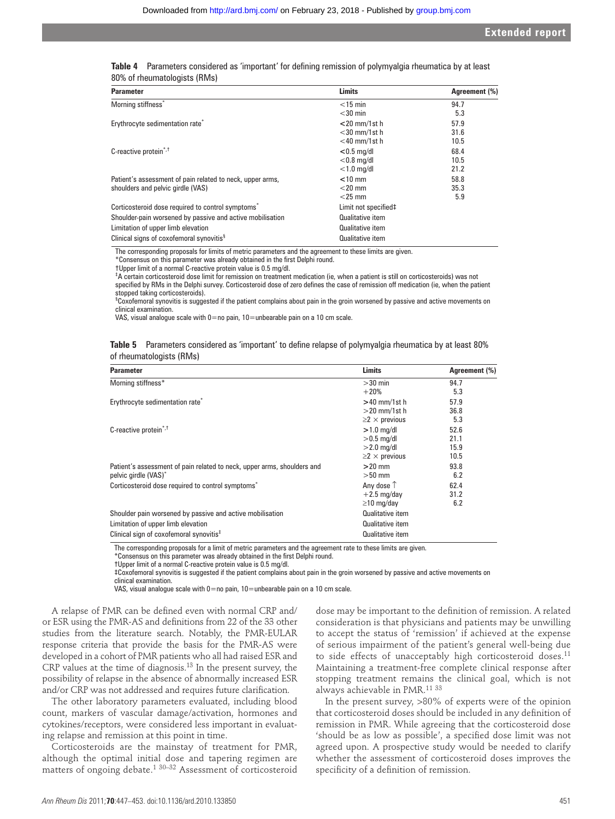| Table 4 Parameters considered as 'important' for defining remission of polymyalgia rheumatica by at least |  |  |
|-----------------------------------------------------------------------------------------------------------|--|--|
| 80% of rheumatologists (RMs)                                                                              |  |  |

| <b>Parameter</b>                                              | <b>Limits</b>        | Agreement (%) |
|---------------------------------------------------------------|----------------------|---------------|
| Morning stiffness*                                            | $<$ 15 min           | 94.7          |
|                                                               | $<$ 30 min           | 5.3           |
| Erythrocyte sedimentation rate <sup>*</sup>                   | $<$ 20 mm/1st h      | 57.9          |
|                                                               | $<$ 30 mm/1st h      | 31.6          |
|                                                               | $<$ 40 mm/1st h      | 10.5          |
| C-reactive protein <sup>*,†</sup>                             | $< 0.5$ mg/dl        | 68.4          |
|                                                               | $<$ 0.8 mg/dl        | 10.5          |
|                                                               | $<$ 1.0 mg/dl        | 21.2          |
| Patient's assessment of pain related to neck, upper arms,     | $<$ 10 mm            | 58.8          |
| shoulders and pelvic girdle (VAS)                             | $<$ 20 mm            | 35.3          |
|                                                               | $<$ 25 mm            | 5.9           |
| Corticosteroid dose required to control symptoms <sup>*</sup> | Limit not specified‡ |               |
| Shoulder-pain worsened by passive and active mobilisation     | Qualitative item     |               |
| Limitation of upper limb elevation                            | Qualitative item     |               |
| Clinical signs of coxofemoral synovitis <sup>§</sup>          | Qualitative item     |               |

The corresponding proposals for limits of metric parameters and the agreement to these limits are given.

\*Consensus on this parameter was already obtained in the first Delphi round.

†Upper limit of a normal C-reactive protein value is 0.5 mg/dl.

‡ A certain corticosteroid dose limit for remission on treatment medication (ie, when a patient is still on corticosteroids) was not specified by RMs in the Delphi survey. Corticosteroid dose of zero defines the case of remission off medication (ie, when the patient stopped taking corticosteroids).

§ Coxofemoral synovitis is suggested if the patient complains about pain in the groin worsened by passive and active movements on clinical examination.

VAS, visual analogue scale with  $0=$ no pain,  $10=$ unbearable pain on a 10 cm scale.

| Table 5 Parameters considered as 'important' to define relapse of polymyalgia rheumatica by at least 80% |  |  |  |  |
|----------------------------------------------------------------------------------------------------------|--|--|--|--|
| of rheumatologists (RMs)                                                                                 |  |  |  |  |

| <b>Parameter</b>                                                        | <b>Limits</b>              | Agreement (%) |
|-------------------------------------------------------------------------|----------------------------|---------------|
| Morning stiffness*                                                      | $>30$ min                  | 94.7          |
|                                                                         | $+20%$                     | 5.3           |
| Erythrocyte sedimentation rate <sup>*</sup>                             | $>40$ mm/1st h             | 57.9          |
|                                                                         | $>$ 20 mm/1st h            | 36.8          |
|                                                                         | $\geq$ $2 \times$ previous | 5.3           |
| C-reactive protein <sup>*,†</sup>                                       | $>1.0$ mg/dl               | 52.6          |
|                                                                         | $>0.5$ mg/dl               | 21.1          |
|                                                                         | $>2.0$ mg/dl               | 15.9          |
|                                                                         | $\geq$ $2 \times$ previous | 10.5          |
| Patient's assessment of pain related to neck, upper arms, shoulders and | $>20$ mm                   | 93.8          |
| pelvic girdle (VAS) <sup>*</sup>                                        | $>50$ mm                   | 6.2           |
| Corticosteroid dose required to control symptoms <sup>*</sup>           | Any dose $\uparrow$        | 62.4          |
|                                                                         | $+2.5$ mg/day              | 31.2          |
|                                                                         | $\geq$ 10 mg/day           | 6.2           |
| Shoulder pain worsened by passive and active mobilisation               | Qualitative item           |               |
| Limitation of upper limb elevation                                      | <b>Qualitative item</b>    |               |
| Clinical sign of coxofemoral synovitis <sup>#</sup>                     | Qualitative item           |               |

The corresponding proposals for a limit of metric parameters and the agreement rate to these limits are given.

\*Consensus on this parameter was already obtained in the first Delphi round.

†Upper limit of a normal C-reactive protein value is 0.5 mg/dl.

 ‡Coxofemoral synovitis is suggested if the patient complains about pain in the groin worsened by passive and active movements on clinical examination.

VAS, visual analogue scale with  $0=$  no pain,  $10=$ unbearable pain on a 10 cm scale.

A relapse of PMR can be defined even with normal CRP and/ or ESR using the PMR-AS and definitions from 22 of the 33 other studies from the literature search. Notably, the PMR-EULAR response criteria that provide the basis for the PMR-AS were developed in a cohort of PMR patients who all had raised ESR and CRP values at the time of diagnosis.<sup>13</sup> In the present survey, the possibility of relapse in the absence of abnormally increased ESR and/or CRP was not addressed and requires future clarification.

The other laboratory parameters evaluated, including blood count, markers of vascular damage/activation, hormones and cytokines/receptors, were considered less important in evaluating relapse and remission at this point in time.

Corticosteroids are the mainstay of treatment for PMR, although the optimal initial dose and tapering regimen are matters of ongoing debate.<sup>1 30–32</sup> Assessment of corticosteroid dose may be important to the definition of remission. A related consideration is that physicians and patients may be unwilling to accept the status of 'remission' if achieved at the expense of serious impairment of the patient's general well-being due to side effects of unacceptably high corticosteroid doses.<sup>11</sup> Maintaining a treatment-free complete clinical response after stopping treatment remains the clinical goal, which is not always achievable in PMR.<sup>11 33</sup>

In the present survey, >80% of experts were of the opinion that corticosteroid doses should be included in any definition of remission in PMR. While agreeing that the corticosteroid dose 'should be as low as possible', a specified dose limit was not agreed upon. A prospective study would be needed to clarify whether the assessment of corticosteroid doses improves the specificity of a definition of remission.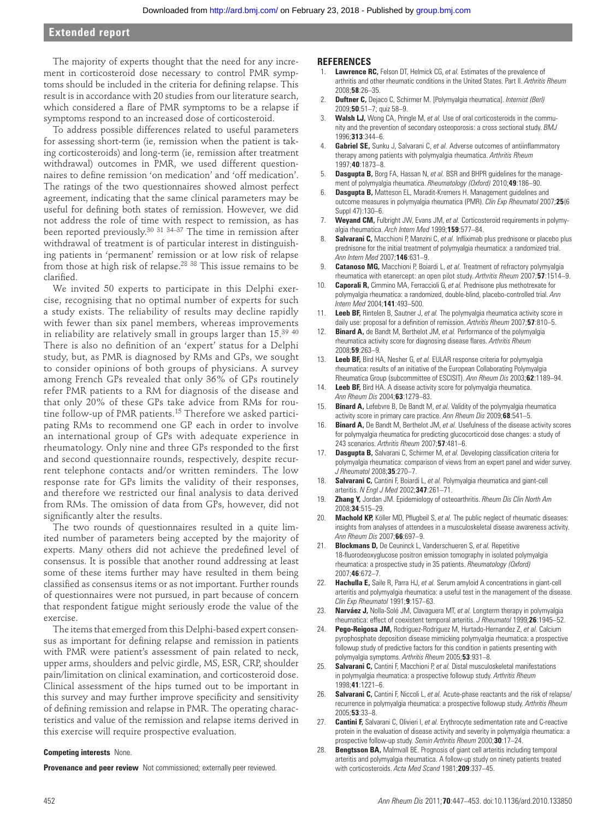# **Extended report**

The majority of experts thought that the need for any increment in corticosteroid dose necessary to control PMR symptoms should be included in the criteria for defining relapse. This result is in accordance with 20 studies from our literature search, which considered a flare of PMR symptoms to be a relapse if symptoms respond to an increased dose of corticosteroid.

To address possible differences related to useful parameters for assessing short-term (ie, remission when the patient is taking corticosteroids) and long-term (ie, remission after treatment withdrawal) outcomes in PMR, we used different questionnaires to define remission 'on medication' and 'off medication'. The ratings of the two questionnaires showed almost perfect agreement, indicating that the same clinical parameters may be useful for defining both states of remission. However, we did not address the role of time with respect to remission, as has been reported previously.<sup>30 31 34-37</sup> The time in remission after withdrawal of treatment is of particular interest in distinguishing patients in 'permanent' remission or at low risk of relapse from those at high risk of relapse. $^{28}$   $^{38}$  This issue remains to be clarified.

We invited 50 experts to participate in this Delphi exercise, recognising that no optimal number of experts for such a study exists. The reliability of results may decline rapidly with fewer than six panel members, whereas improvements in reliability are relatively small in groups larger than  $15.^{39}$   $^{40}$ There is also no definition of an 'expert' status for a Delphi study, but, as PMR is diagnosed by RMs and GPs, we sought to consider opinions of both groups of physicians. A survey among French GPs revealed that only 36% of GPs routinely refer PMR patients to a RM for diagnosis of the disease and that only 20% of these GPs take advice from RMs for routine follow-up of PMR patients. 15 Therefore we asked participating RMs to recommend one GP each in order to involve an international group of GPs with adequate experience in rheumatology. Only nine and three GPs responded to the first and second questionnaire rounds, respectively, despite recurrent telephone contacts and/or written reminders. The low response rate for GPs limits the validity of their responses, and therefore we restricted our final analysis to data derived from RMs. The omission of data from GPs, however, did not significantly alter the results.

The two rounds of questionnaires resulted in a quite limited number of parameters being accepted by the majority of experts. Many others did not achieve the predefined level of consensus. It is possible that another round addressing at least some of these items further may have resulted in them being classified as consensus items or as not important. Further rounds of questionnaires were not pursued, in part because of concern that respondent fatigue might seriously erode the value of the exercise.

The items that emerged from this Delphi-based expert consensus as important for defining relapse and remission in patients with PMR were patient's assessment of pain related to neck, upper arms, shoulders and pelvic girdle, MS, ESR, CRP, shoulder pain/limitation on clinical examination, and corticosteroid dose. Clinical assessment of the hips turned out to be important in this survey and may further improve specificity and sensitivity of defining remission and relapse in PMR. The operating characteristics and value of the remission and relapse items derived in this exercise will require prospective evaluation.

#### **Competing interests** None.

**Provenance and peer review** Not commissioned; externally peer reviewed.

#### **REFERENCES**

- 1. **Lawrence RC,** Felson DT, Helmick CG, *et al.* Estimates of the prevalence of arthritis and other rheumatic conditions in the United States. Part II. *Arthritis Rheum* 2008 ; **58** : 26 – 35 .
- 2. **Duftner C,** Dejaco C, Schirmer M. [Polymyalgia rheumatica]. *Internist (Berl)* 2009 ; **50** : 51 – 7 ; quiz 58–9.
- **Walsh LJ,** Wong CA, Pringle M, et al. Use of oral corticosteroids in the community and the prevention of secondary osteoporosis: a cross sectional study. *BMJ* 1996 ; **313** : 344 – 6 .
- 4. **Gabriel SE,** Sunku J, Salvarani C, et al. Adverse outcomes of antiinflammatory therapy among patients with polymyalgia rheumatica. *Arthritis Rheum* 1997 ; **40** : 1873 – 8 .
- **Dasgupta B,** Borg FA, Hassan N, et al. BSR and BHPR guidelines for the management of polymyalgia rheumatica. *Rheumatology (Oxford)* 2010;49:186-90.
- 6. **Dasgupta B,** Matteson EL, Maradit-Kremers H. Management guidelines and outcome measures in polymyalgia rheumatica (PMR). *Clin Exp Rheumatol* 2007;25(6 Suppl 47): 130-6.
- 7. **Weyand CM,** Fulbright JW, Evans JM, *et al.* Corticosteroid requirements in polymyalgia rheumatica. *Arch Intern Med* 1999 ; **159** : 577 – 84 .
- **Salvarani C,** Macchioni P, Manzini C, et al. Infliximab plus prednisone or placebo plus prednisone for the initial treatment of polymyalgia rheumatica: a randomized trial. *Ann Intern Med* 2007 ; **146** : 631 – 9 .
- 9. **Catanoso MG,** Macchioni P, Boiardi L, *et al.* Treatment of refractory polymyalgia rheumatica with etanercept: an open pilot study. Arthritis Rheum 2007;57:1514-9.
- 10. **Caporali R,** Cimmino MA, Ferraccioli G, *et al.* Prednisone plus methotrexate for polymyalgia rheumatica: a randomized, double-blind, placebo-controlled trial. *Ann Intern Med* 2004 ; **141** : 493 – 500 .
- **Leeb BF,** Rintelen B, Sautner J, et al. The polymyalgia rheumatica activity score in daily use: proposal for a definition of remission. Arthritis Rheum 2007;57:810-5.
- 12. **Binard A,** de Bandt M, Berthelot JM, *et al.* Performance of the polymyalgia rheumatica activity score for diagnosing disease flares. Arthritis Rheum 2008 ; **59** : 263 – 9 .
- 13. **Leeb BF,** Bird HA, Nesher G, *et al.* EULAR response criteria for polymyalgia rheumatica: results of an initiative of the European Collaborating Polymyalgia Rheumatica Group (subcommittee of ESCISIT). *Ann Rheum Dis* 2003 ; **62** : 1189 – 94 .
- 14. **Leeb BF,** Bird HA. A disease activity score for polymyalgia rheumatica. *Ann Rheum Dis* 2004 ; **63** : 1279 – 83 .
- **Binard A,** Lefebvre B, De Bandt M, et al. Validity of the polymyalgia rheumatica activity score in primary care practice. Ann Rheum Dis 2009;68:541-5.
- 16. **Binard A,** De Bandt M, Berthelot JM, *et al.* Usefulness of the disease activity scores for polymyalgia rheumatica for predicting glucocorticoid dose changes: a study of 243 scenarios. *Arthritis Rheum* 2007 ; **57** : 481 – 6 .
- **Dasgupta B,** Salvarani C, Schirmer M, et al. Developing classification criteria for polymyalgia rheumatica: comparison of views from an expert panel and wider survey. *J Rheumatol* 2008 ; **35** : 270 – 7 .
- 18. **Salvarani C,** Cantini F, Boiardi L, *et al.* Polymyalgia rheumatica and giant-cell arteritis. *N Engl J Med* 2002 ; **347** : 261 – 71 .
- 19. **Zhang Y,** Jordan JM. Epidemiology of osteoarthritis. *Rheum Dis Clin North Am* 2008 ; **34** : 515 – 29 .
- 20. **Machold KP,** Köller MD, Pflugbeil S, et al. The public neglect of rheumatic diseases: insights from analyses of attendees in a musculoskeletal disease awareness activity. *Ann Rheum Dis* 2007 ; **66** : 697 – 9 .
- 21. **Blockmans D,** De Ceuninck L, Vanderschueren S, *et al.* Repetitive 18-fluorodeoxyglucose positron emission tomography in isolated polymyalgia rheumatica: a prospective study in 35 patients. *Rheumatology (Oxford)* 2007 ; **46** : 672 – 7 .
- 22. **Hachulla E,** Saile R, Parra HJ, *et al.* Serum amyloid A concentrations in giant-cell arteritis and polymyalgia rheumatica: a useful test in the management of the disease. *Clin Exp Rheumatol* 1991 ; **9** : 157 – 63 .
- 23. **Narváez J,** Nolla-Solé JM, Clavaguera MT, *et al.* Longterm therapy in polymyalgia rheumatica: effect of coexistent temporal arteritis. *J Rheumatol* 1999;26:1945-52.
- 24. **Pego-Reigosa JM,** Rodriguez-Rodriguez M, Hurtado-Hernandez Z, *et al.* Calcium pyrophosphate deposition disease mimicking polymyalgia rheumatica: a prospective followup study of predictive factors for this condition in patients presenting with polymyalgia symptoms. *Arthritis Rheum* 2005 ; **53** : 931 – 8 .
- 25. **Salvarani C,** Cantini F, Macchioni P, *et al.* Distal musculoskeletal manifestations in polymyalgia rheumatica: a prospective followup study. *Arthritis Rheum* 1998 ; **41** : 1221 – 6 .
- 26. **Salvarani C,** Cantini F, Niccoli L, *et al.* Acute-phase reactants and the risk of relapse/ recurrence in polymyalgia rheumatica: a prospective followup study. *Arthritis Rheum* 2005 ; **53** : 33 – 8 .
- 27. **Cantini F,** Salvarani C, Olivieri I, *et al.* Erythrocyte sedimentation rate and C-reactive protein in the evaluation of disease activity and severity in polymyalgia rheumatica: a prospective follow-up study. *Semin Arthritis Rheum* 2000;30:17-24.
- 28. **Bengtsson BA,** Malmvall BE. Prognosis of giant cell arteritis including temporal arteritis and polymyalgia rheumatica. A follow-up study on ninety patients treated with corticosteroids. *Acta Med Scand* 1981 ; **209** : 337 – 45 .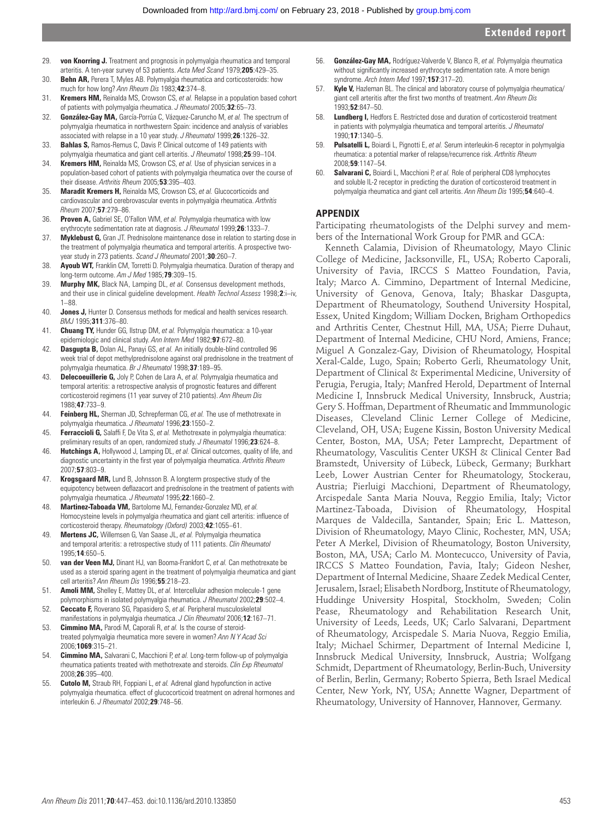- 29. **von Knorring J.** Treatment and prognosis in polymyalgia rheumatica and temporal arteritis. A ten-year survey of 53 patients. Acta Med Scand 1979;205:429-35.
- 30. **Behn AR,** Perera T, Myles AB. Polymyalgia rheumatica and corticosteroids: how much for how long? *Ann Rheum Dis* 1983; **42**:374-8.
- 31. **Kremers HM,** Reinalda MS, Crowson CS, *et al.* Relapse in a population based cohort of patients with polymyalgia rheumatica. *J Rheumatol* 2005;32:65-73.
- 32. **González-Gay MA,** García-Porrúa C, Vázquez-Caruncho M, *et al.* The spectrum of polymyalgia rheumatica in northwestern Spain: incidence and analysis of variables associated with relapse in a 10 year study. *J Rheumatol* 1999;26:1326-32.
- 33. **Bahlas S,** Ramos-Remus C, Davis P. Clinical outcome of 149 patients with polymyalgia rheumatica and giant cell arteritis. *J Rheumatol* 1998;25:99-104.
- 34. **Kremers HM,** Reinalda MS, Crowson CS, *et al.* Use of physician services in a population-based cohort of patients with polymyalgia rheumatica over the course of their disease. *Arthritis Rheum* 2005 ; **53** : 395 – 403 .
- 35. **Maradit Kremers H,** Reinalda MS, Crowson CS, *et al.* Glucocorticoids and cardiovascular and cerebrovascular events in polymyalgia rheumatica. *Arthritis Rheum* 2007 ; **57** : 279 – 86 .
- 36. **Proven A,** Gabriel SE, O'Fallon WM, *et al.* Polymyalgia rheumatica with low erythrocyte sedimentation rate at diagnosis. *J Rheumatol* 1999;26:1333-7.
- 37. **Myklebust G,** Gran JT. Prednisolone maintenance dose in relation to starting dose in the treatment of polymyalgia rheumatica and temporal arteritis. A prospective twoyear study in 273 patients. *Scand J Rheumatol* 2001;30:260-7.
- 38. **Ayoub WT,** Franklin CM, Torretti D. Polymyalgia rheumatica. Duration of therapy and long-term outcome. Am J Med 1985;79:309-15.
- 39. **Murphy MK,** Black NA, Lamping DL, *et al.* Consensus development methods, and their use in clinical guideline development. *Health Technol Assess* 1998;2:i-iv, 1–88.
- 40. **Jones J,** Hunter D. Consensus methods for medical and health services research. *BMJ* 1995 ; **311** : 376 – 80 .
- 41. **Chuang TY,** Hunder GG, Ilstrup DM, *et al.* Polymyalgia rheumatica: a 10-year epidemiologic and clinical study. Ann Intern Med 1982;97:672-80.
- 42. **Dasgupta B,** Dolan AL, Panayi GS, *et al.* An initially double-blind controlled 96 week trial of depot methylprednisolone against oral prednisolone in the treatment of polymyalgia rheumatica. *Br J Rheumatol* 1998;37:189-95.
- 43. **Delecoeuillerie G,** Joly P, Cohen de Lara A, *et al.* Polymyalgia rheumatica and temporal arteritis: a retrospective analysis of prognostic features and different corticosteroid regimens (11 year survey of 210 patients). *Ann Rheum Dis* 1988 ; **47** : 733 – 9 .
- 44. **Feinberg HL,** Sherman JD, Schrepferman CG, *et al.* The use of methotrexate in polymyalgia rheumatica. *J Rheumatol* 1996;23:1550-2.
- 45. **Ferraccioli G,** Salaffi F, De Vita S, *et al.* Methotrexate in polymyalgia rheumatica: preliminary results of an open, randomized study. *J Rheumatol* 1996;23:624-8.
- 46. **Hutchings A,** Hollywood J, Lamping DL, *et al.* Clinical outcomes, quality of life, and diagnostic uncertainty in the first year of polymyalgia rheumatica. Arthritis Rheum 2007 ; **57** : 803 – 9 .
- 47. **Krogsgaard MR,** Lund B, Johnsson B. A longterm prospective study of the equipotency between deflazacort and prednisolone in the treatment of patients with polymyalgia rheumatica. *J Rheumatol* 1995 ; **22** : 1660 – 2 .
- 48. **Martinez-Taboada VM,** Bartolome MJ, Fernandez-Gonzalez MD, *et al.* Homocysteine levels in polymyalgia rheumatica and giant cell arteritis: influence of corticosteroid therapy. *Rheumatology (Oxford)* 2003 ; **42** : 1055 – 61 .
- 49. **Mertens JC,** Willemsen G, Van Saase JL, *et al.* Polymyalgia rheumatica and temporal arteritis: a retrospective study of 111 patients. *Clin Rheumatol* 1995 ; **14** : 650 – 5 .
- 50. **van der Veen MJ,** Dinant HJ, van Booma-Frankfort C, *et al.* Can methotrexate be used as a steroid sparing agent in the treatment of polymyalgia rheumatica and giant cell arteritis? *Ann Rheum Dis* 1996 ; **55** : 218 – 23 .
- 51. **Amoli MM,** Shelley E, Mattey DL, *et al.* Intercellular adhesion molecule-1 gene polymorphisms in isolated polymyalgia rheumatica. *J Rheumatol* 2002;29:502-4.
- 52. **Ceccato F,** Roverano SG, Papasidero S, *et al.* Peripheral musculoskeletal manifestations in polymyalgia rheumatica. *J Clin Rheumatol* 2006 ; **12** : 167 – 71 .
- 53. **Cimmino MA,** Parodi M, Caporali R, *et al.* Is the course of steroidtreated polymyalgia rheumatica more severe in women? *Ann N Y Acad Sci* 2006 ; **1069** : 315 – 21 .
- 54. **Cimmino MA,** Salvarani C, Macchioni P, *et al.* Long-term follow-up of polymyalgia rheumatica patients treated with methotrexate and steroids. *Clin Exp Rheumatol* 2008 ; **26** : 395 – 400 .
- 55. **Cutolo M,** Straub RH, Foppiani L, *et al.* Adrenal gland hypofunction in active polymyalgia rheumatica. effect of glucocorticoid treatment on adrenal hormones and interleukin 6. *J Rheumatol* 2002 ; **29** : 748 – 56 .
- 56. **González-Gay MA,** Rodríguez-Valverde V, Blanco R, *et al.* Polymyalgia rheumatica without significantly increased erythrocyte sedimentation rate. A more benign syndrome. *Arch Intern Med* 1997 ; **157** : 317 – 20 .
- 57. **Kyle V,** Hazleman BL. The clinical and laboratory course of polymyalgia rheumatica/ giant cell arteritis after the first two months of treatment. *Ann Rheum Dis* 1993 ; **52** : 847 – 50 .
- 58. **Lundberg I,** Hedfors E. Restricted dose and duration of corticosteroid treatment in patients with polymyalgia rheumatica and temporal arteritis. *J Rheumatol* 1990;17:1340-5.
- 59. **Pulsatelli L,** Boiardi L, Pignotti E, *et al.* Serum interleukin-6 receptor in polymyalgia rheumatica: a potential marker of relapse/recurrence risk. *Arthritis Rheum* 2008 ; **59** : 1147 – 54 .
- 60. **Salvarani C,** Boiardi L, Macchioni P, *et al.* Role of peripheral CD8 lymphocytes and soluble IL-2 receptor in predicting the duration of corticosteroid treatment in polymyalgia rheumatica and giant cell arteritis. Ann Rheum Dis 1995;54:640-4.

# **APPENDIX**

Participating rheumatologists of the Delphi survey and members of the International Work Group for PMR and GCA:

Kenneth Calamia, Division of Rheumatology, Mayo Clinic College of Medicine, Jacksonville, FL, USA; Roberto Caporali, University of Pavia, IRCCS S Matteo Foundation, Pavia, Italy; Marco A. Cimmino, Department of Internal Medicine, University of Genova, Genova, Italy; Bhaskar Dasgupta, Department of Rheumatology, Southend University Hospital, Essex, United Kingdom; William Docken, Brigham Orthopedics and Arthritis Center, Chestnut Hill, MA, USA; Pierre Duhaut, Department of Internal Medicine, CHU Nord, Amiens, France; Miguel A Gonzalez-Gay, Division of Rheumatology, Hospital Xeral-Calde, Lugo, Spain; Roberto Gerli, Rheumatology Unit, Department of Clinical & Experimental Medicine, University of Perugia, Perugia, Italy; Manfred Herold, Department of Internal Medicine I, Innsbruck Medical University, Innsbruck, Austria; Gery S. Hoffman, Department of Rheumatic and Immmunologic Diseases, Cleveland Clinic Lerner College of Medicine, Cleveland, OH, USA; Eugene Kissin, Boston University Medical Center, Boston, MA, USA; Peter Lamprecht, Department of Rheumatology, Vasculitis Center UKSH & Clinical Center Bad Bramstedt, University of Lübeck, Lübeck, Germany; Burkhart Leeb, Lower Austrian Center for Rheumatology, Stockerau, Austria; Pierluigi Macchioni, Department of Rheumatology, Arcispedale Santa Maria Nouva, Reggio Emilia, Italy; Victor Martinez-Taboada, Division of Rheumatology, Hospital Marques de Valdecilla, Santander, Spain; Eric L. Matteson, Division of Rheumatology, Mayo Clinic, Rochester, MN, USA; Peter A Merkel, Division of Rheumatology, Boston University, Boston, MA, USA; Carlo M. Montecucco, University of Pavia, IRCCS S Matteo Foundation, Pavia, Italy; Gideon Nesher, Department of Internal Medicine, Shaare Zedek Medical Center, Jerusalem, Israel; Elisabeth Nordborg, Institute of Rheumatology, Huddinge University Hospital, Stockholm, Sweden; Colin Pease, Rheumatology and Rehabilitation Research Unit, University of Leeds, Leeds, UK; Carlo Salvarani, Department of Rheumatology, Arcispedale S. Maria Nuova, Reggio Emilia, Italy; Michael Schirmer, Department of Internal Medicine I, Innsbruck Medical University, Innsbruck, Austria; Wolfgang Schmidt, Department of Rheumatology, Berlin-Buch, University of Berlin, Berlin, Germany; Roberto Spierra, Beth Israel Medical Center, New York, NY, USA; Annette Wagner, Department of Rheumatology, University of Hannover, Hannover, Germany.